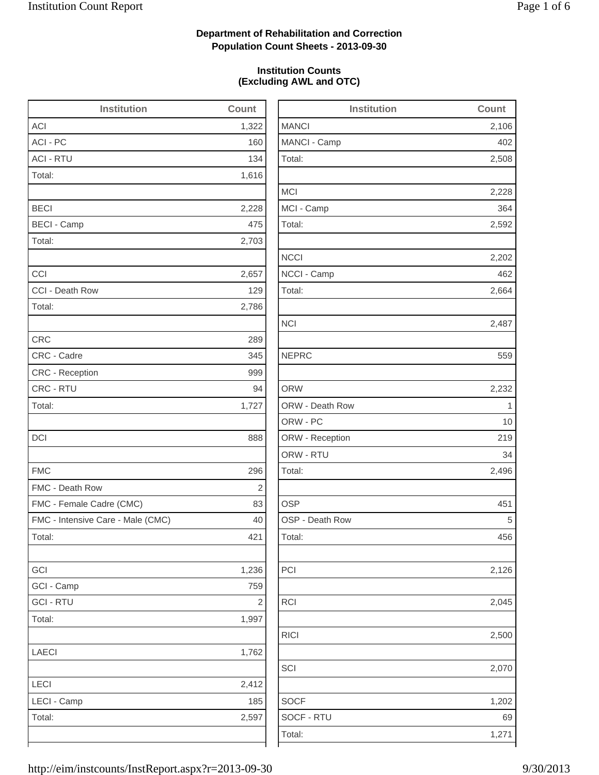2,508

2,228

2,592

2,664

2,496

2,126

2,045

RICI 2,500

2,070

 $1,202$ 

## **Department of Rehabilitation and Correction Population Count Sheets - 2013-09-30**

## **Institution Counts (Excluding AWL and OTC)**

| <b>Institution</b>                | Count      | <b>Institution</b> | Count        |
|-----------------------------------|------------|--------------------|--------------|
| <b>ACI</b>                        | 1,322      | <b>MANCI</b>       | 2,106        |
| ACI - PC                          | 160        | MANCI - Camp       | 402          |
| <b>ACI - RTU</b>                  | 134        | Total:             | 2,508        |
| Total:                            | 1,616      |                    |              |
|                                   |            | <b>MCI</b>         | 2,228        |
| <b>BECI</b>                       | 2,228      | MCI - Camp         | 364          |
| <b>BECI - Camp</b>                | 475        | Total:             | 2,592        |
| Total:                            | 2,703      |                    |              |
|                                   |            | <b>NCCI</b>        | 2,202        |
| CCI                               | 2,657      | NCCI - Camp        | 462          |
| CCI - Death Row                   | 129        | Total:             | 2,664        |
| Total:                            | 2,786      |                    |              |
|                                   |            | <b>NCI</b>         | 2,487        |
| <b>CRC</b>                        | 289        |                    |              |
| CRC - Cadre                       | 345        | <b>NEPRC</b>       | 559          |
| CRC - Reception                   | 999        |                    |              |
| CRC - RTU                         | 94         | <b>ORW</b>         | 2,232        |
| Total:                            | 1,727      | ORW - Death Row    | $\mathbf{1}$ |
|                                   |            | ORW - PC           | 10           |
| DCI                               | 888        | ORW - Reception    | 219          |
|                                   |            | ORW - RTU          | 34           |
| <b>FMC</b>                        | 296        | Total:             | 2,496        |
| FMC - Death Row                   | $\sqrt{2}$ |                    |              |
| FMC - Female Cadre (CMC)          | 83         | <b>OSP</b>         | 451          |
| FMC - Intensive Care - Male (CMC) | 40         | OSP - Death Row    | 5            |
| Total:                            | 421        | Total:             | 456          |
| GCI                               | 1,236      | PCI                | 2,126        |
| GCI - Camp                        | 759        |                    |              |
| <b>GCI - RTU</b>                  | $\sqrt{2}$ | <b>RCI</b>         | 2,045        |
| Total:                            | 1,997      |                    |              |
|                                   |            | <b>RICI</b>        | 2,500        |
| <b>LAECI</b>                      | 1,762      |                    |              |
|                                   |            | SCI                | 2,070        |
| LECI                              | 2,412      |                    |              |
| LECI - Camp                       | 185        | <b>SOCF</b>        | 1,202        |
| Total:                            | 2,597      | SOCF - RTU         | 69           |
|                                   |            | Total:             | 1,271        |
|                                   |            |                    |              |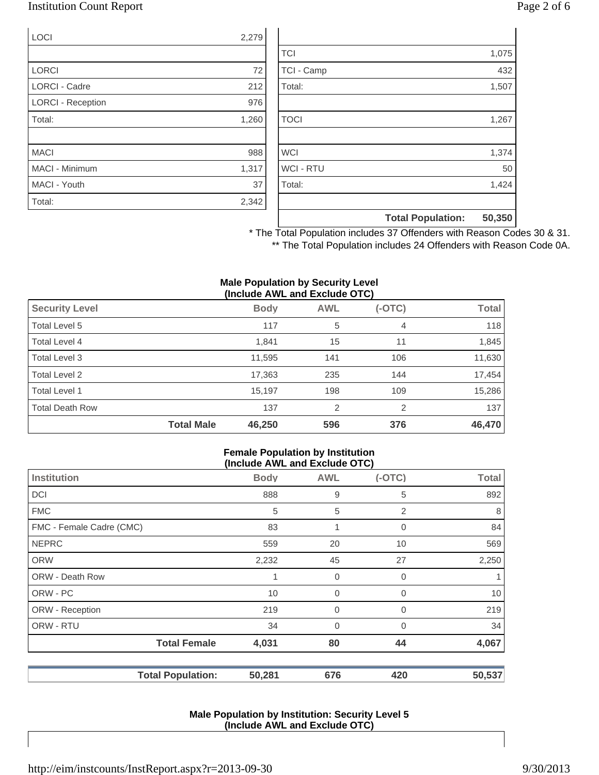## Institution Count Report Page 2 of 6

| LOCI                     | 2,279 |
|--------------------------|-------|
|                          |       |
| <b>LORCI</b>             | 72    |
| <b>LORCI - Cadre</b>     | 212   |
| <b>LORCI - Reception</b> | 976   |
| Total:                   | 1,260 |
|                          |       |
| <b>MACI</b>              | 988   |
| MACI - Minimum           | 1,317 |
| MACI - Youth             | 37    |
| Total:                   | 2,342 |

|                  | <b>Total Population:</b> | 50,350 |
|------------------|--------------------------|--------|
|                  |                          |        |
| Total:           |                          | 1,424  |
| <b>WCI - RTU</b> |                          | 50     |
| <b>WCI</b>       |                          | 1,374  |
|                  |                          |        |
| <b>TOCI</b>      |                          | 1,267  |
|                  |                          |        |
| Total:           |                          | 1,507  |
| TCI - Camp       |                          | 432    |
| <b>TCI</b>       |                          | 1,075  |

\* The Total Population includes 37 Offenders with Reason Codes 30 & 31. \*\* The Total Population includes 24 Offenders with Reason Code 0A.

#### **Male Population by Security Level (Include AWL and Exclude OTC)**

| ,                      |                   |             |                |          |        |
|------------------------|-------------------|-------------|----------------|----------|--------|
| <b>Security Level</b>  |                   | <b>Body</b> | <b>AWL</b>     | $(-OTC)$ | Total  |
| Total Level 5          |                   | 117         | 5              | 4        | 118    |
| Total Level 4          |                   | 1,841       | 15             | 11       | 1,845  |
| Total Level 3          |                   | 11,595      | 141            | 106      | 11,630 |
| Total Level 2          |                   | 17,363      | 235            | 144      | 17,454 |
| Total Level 1          |                   | 15,197      | 198            | 109      | 15,286 |
| <b>Total Death Row</b> |                   | 137         | $\overline{2}$ | 2        | 137    |
|                        | <b>Total Male</b> | 46,250      | 596            | 376      | 46,470 |

#### **Female Population by Institution (Include AWL and Exclude OTC)**

| $(1101000)$ and the thousand $(0.0000)$ |             |                |          |              |  |
|-----------------------------------------|-------------|----------------|----------|--------------|--|
| Institution                             | <b>Body</b> | <b>AWL</b>     | $(-OTC)$ | <b>Total</b> |  |
| <b>DCI</b>                              | 888         | 9              | 5        | 892          |  |
| <b>FMC</b>                              | 5           | 5              | 2        | 8            |  |
| FMC - Female Cadre (CMC)                | 83          | 1              | 0        | 84           |  |
| <b>NEPRC</b>                            | 559         | 20             | 10       | 569          |  |
| <b>ORW</b>                              | 2,232       | 45             | 27       | 2,250        |  |
| <b>ORW - Death Row</b>                  | 1           | 0              | 0        |              |  |
| ORW - PC                                | 10          | $\mathbf 0$    | 0        | 10           |  |
| ORW - Reception                         | 219         | $\mathbf 0$    | 0        | 219          |  |
| ORW - RTU                               | 34          | $\overline{0}$ | $\Omega$ | 34           |  |
| <b>Total Female</b>                     | 4,031       | 80             | 44       | 4,067        |  |
| <b>Total Population:</b>                | 50,281      | 676            | 420      | 50,537       |  |

### **Male Population by Institution: Security Level 5 (Include AWL and Exclude OTC)**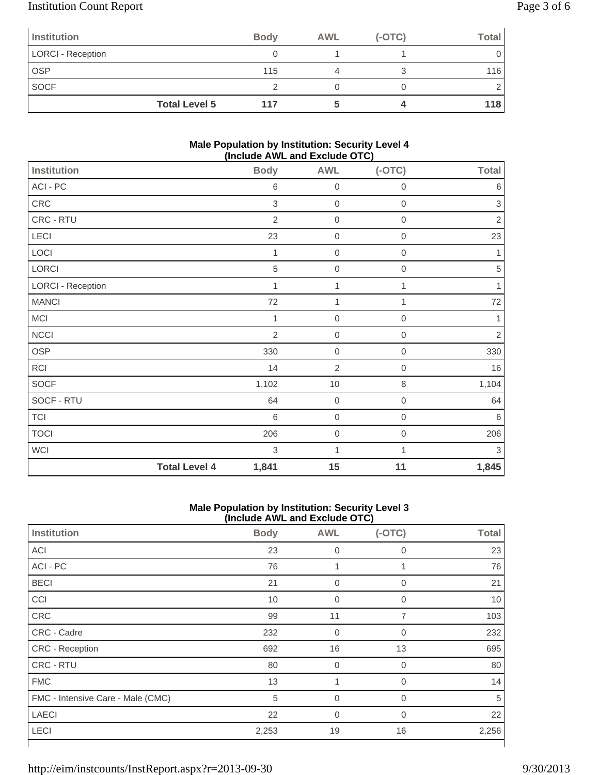# Institution Count Report Page 3 of 6

| Institution              |                      | <b>Body</b> | <b>AWL</b> | $(-OTC)$ | <b>Total</b> |
|--------------------------|----------------------|-------------|------------|----------|--------------|
| <b>LORCI - Reception</b> |                      |             |            |          |              |
| <b>OSP</b>               |                      | 115         |            |          | 116          |
| <b>SOCF</b>              |                      |             |            |          |              |
|                          | <b>Total Level 5</b> | 117         |            |          | 118          |

## **Male Population by Institution: Security Level 4 (Include AWL and Exclude OTC)**

| . ,                      |                      |                |                  |                  |              |
|--------------------------|----------------------|----------------|------------------|------------------|--------------|
| <b>Institution</b>       |                      | <b>Body</b>    | <b>AWL</b>       | $(-OTC)$         | <b>Total</b> |
| ACI - PC                 |                      | $\,6$          | $\boldsymbol{0}$ | $\mathbf 0$      | $\,6$        |
| CRC                      |                      | $\,$ 3 $\,$    | $\boldsymbol{0}$ | $\boldsymbol{0}$ | $\sqrt{3}$   |
| CRC - RTU                |                      | $\overline{2}$ | $\mathbf 0$      | $\mathbf 0$      | $\sqrt{2}$   |
| LECI                     |                      | 23             | $\mathbf 0$      | $\mathbf 0$      | 23           |
| LOCI                     |                      | 1              | $\mathbf 0$      | $\boldsymbol{0}$ | 1            |
| LORCI                    |                      | 5              | $\mathbf 0$      | $\boldsymbol{0}$ | $\sqrt{5}$   |
| <b>LORCI - Reception</b> |                      | $\mathbf{1}$   | 1                | 1                | 1            |
| <b>MANCI</b>             |                      | 72             | 1                | 1                | $72\,$       |
| <b>MCI</b>               |                      | 1              | $\mathbf 0$      | $\,0\,$          | $\mathbf{1}$ |
| <b>NCCI</b>              |                      | $\overline{2}$ | $\mathbf 0$      | $\mathbf 0$      | $\sqrt{2}$   |
| <b>OSP</b>               |                      | 330            | $\mathbf 0$      | $\mathbf 0$      | 330          |
| <b>RCI</b>               |                      | 14             | $\overline{2}$   | $\mathbf 0$      | 16           |
| <b>SOCF</b>              |                      | 1,102          | $10$             | $\,8\,$          | 1,104        |
| SOCF - RTU               |                      | 64             | $\boldsymbol{0}$ | $\,0\,$          | 64           |
| <b>TCI</b>               |                      | 6              | $\boldsymbol{0}$ | $\mathbf 0$      | $\,6$        |
| <b>TOCI</b>              |                      | 206            | $\mathbf 0$      | $\boldsymbol{0}$ | 206          |
| <b>WCI</b>               |                      | 3              | 1                | 1                | $\sqrt{3}$   |
|                          | <b>Total Level 4</b> | 1,841          | 15               | 11               | 1,845        |

#### **Male Population by Institution: Security Level 3 (Include AWL and Exclude OTC)**

| <b>Institution</b>                | <b>Body</b> | <b>AWL</b>     | $(-OTC)$       | <b>Total</b> |
|-----------------------------------|-------------|----------------|----------------|--------------|
| <b>ACI</b>                        | 23          | $\overline{0}$ | 0              | 23           |
| ACI - PC                          | 76          | 1              | 1              | 76           |
| <b>BECI</b>                       | 21          | $\mathbf 0$    | 0              | 21           |
| CCI                               | 10          | $\mathbf 0$    | 0              | 10           |
| CRC                               | 99          | 11             | $\overline{7}$ | 103          |
| CRC - Cadre                       | 232         | $\mathbf 0$    | $\mathbf 0$    | 232          |
| CRC - Reception                   | 692         | 16             | 13             | 695          |
| <b>CRC - RTU</b>                  | 80          | $\mathbf 0$    | 0              | 80           |
| <b>FMC</b>                        | 13          |                | $\overline{0}$ | 14           |
| FMC - Intensive Care - Male (CMC) | 5           | $\overline{0}$ | $\overline{0}$ | 5            |
| <b>LAECI</b>                      | 22          | $\Omega$       | $\Omega$       | 22           |
| <b>LECI</b>                       | 2,253       | 19             | 16             | 2,256        |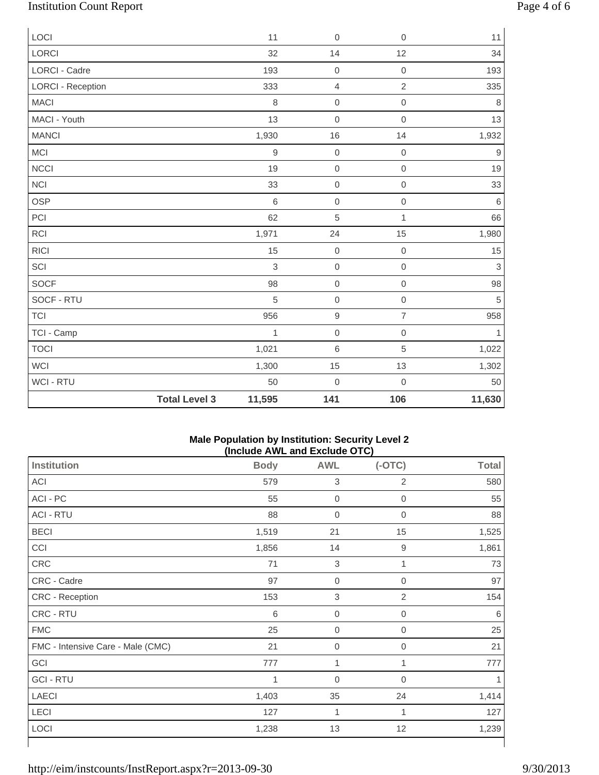# Institution Count Report Page 4 of 6

| LOCI                     |                      | 11           | $\mathbf 0$      | $\mathbf 0$      | 11               |
|--------------------------|----------------------|--------------|------------------|------------------|------------------|
| <b>LORCI</b>             |                      | 32           | 14               | 12               | 34               |
| <b>LORCI - Cadre</b>     |                      | 193          | $\mathbf 0$      | $\mathbf 0$      | 193              |
| <b>LORCI - Reception</b> |                      | 333          | $\sqrt{4}$       | $\overline{c}$   | 335              |
| <b>MACI</b>              |                      | 8            | $\mathbf 0$      | $\mathbf 0$      | 8                |
| MACI - Youth             |                      | 13           | $\mathbf 0$      | $\mathbf 0$      | 13               |
| <b>MANCI</b>             |                      | 1,930        | 16               | 14               | 1,932            |
| MCI                      |                      | $\mathsf g$  | $\mbox{O}$       | $\boldsymbol{0}$ | $\boldsymbol{9}$ |
| <b>NCCI</b>              |                      | 19           | $\mathbf 0$      | $\boldsymbol{0}$ | 19               |
| <b>NCI</b>               |                      | 33           | $\mathbf 0$      | $\mathbf 0$      | 33               |
| <b>OSP</b>               |                      | $\,6$        | $\mathbf 0$      | $\mathbf 0$      | $\,6\,$          |
| PCI                      |                      | 62           | 5                | 1                | 66               |
| <b>RCI</b>               |                      | 1,971        | 24               | 15               | 1,980            |
| <b>RICI</b>              |                      | 15           | $\mathbf 0$      | $\boldsymbol{0}$ | $15\,$           |
| SCI                      |                      | 3            | $\mathbf 0$      | $\mathbf 0$      | 3                |
| <b>SOCF</b>              |                      | 98           | $\mbox{O}$       | $\mathbf 0$      | 98               |
| SOCF - RTU               |                      | 5            | $\mathbf 0$      | $\mathbf 0$      | 5                |
| <b>TCI</b>               |                      | 956          | $\hbox{9}$       | $\overline{7}$   | 958              |
| TCI - Camp               |                      | $\mathbf{1}$ | $\mathbf 0$      | $\mathbf 0$      | $\mathbf{1}$     |
| <b>TOCI</b>              |                      | 1,021        | 6                | 5                | 1,022            |
| <b>WCI</b>               |                      | 1,300        | 15               | 13               | 1,302            |
| WCI - RTU                |                      | 50           | $\boldsymbol{0}$ | $\mathbf 0$      | 50               |
|                          | <b>Total Level 3</b> | 11,595       | 141              | 106              | 11,630           |

#### **Male Population by Institution: Security Level 2 (Include AWL and Exclude OTC)**

| <b>Institution</b>                | <b>Body</b> | <b>AWL</b>       | $(-OTC)$            | <b>Total</b> |
|-----------------------------------|-------------|------------------|---------------------|--------------|
| ACI                               | 579         | $\sqrt{3}$       | $\overline{2}$      | 580          |
| ACI - PC                          | 55          | $\boldsymbol{0}$ | $\mathsf{O}\xspace$ | 55           |
| <b>ACI - RTU</b>                  | 88          | $\mathbf 0$      | 0                   | 88           |
| <b>BECI</b>                       | 1,519       | 21               | 15                  | 1,525        |
| CCI                               | 1,856       | 14               | 9                   | 1,861        |
| CRC                               | 71          | $\mathsf 3$      | 1                   | 73           |
| CRC - Cadre                       | 97          | $\boldsymbol{0}$ | $\boldsymbol{0}$    | 97           |
| CRC - Reception                   | 153         | $\mathsf 3$      | $\overline{2}$      | 154          |
| CRC - RTU                         | 6           | $\boldsymbol{0}$ | $\boldsymbol{0}$    | 6            |
| <b>FMC</b>                        | 25          | $\boldsymbol{0}$ | 0                   | 25           |
| FMC - Intensive Care - Male (CMC) | 21          | $\mathbf 0$      | 0                   | 21           |
| GCI                               | 777         | 1                | 1                   | 777          |
| <b>GCI - RTU</b>                  | 1           | $\boldsymbol{0}$ | $\mathsf{O}\xspace$ |              |
| <b>LAECI</b>                      | 1,403       | 35               | 24                  | 1,414        |
| LECI                              | 127         | 1                | 1                   | 127          |
| LOCI                              | 1,238       | 13               | 12                  | 1,239        |
|                                   |             |                  |                     |              |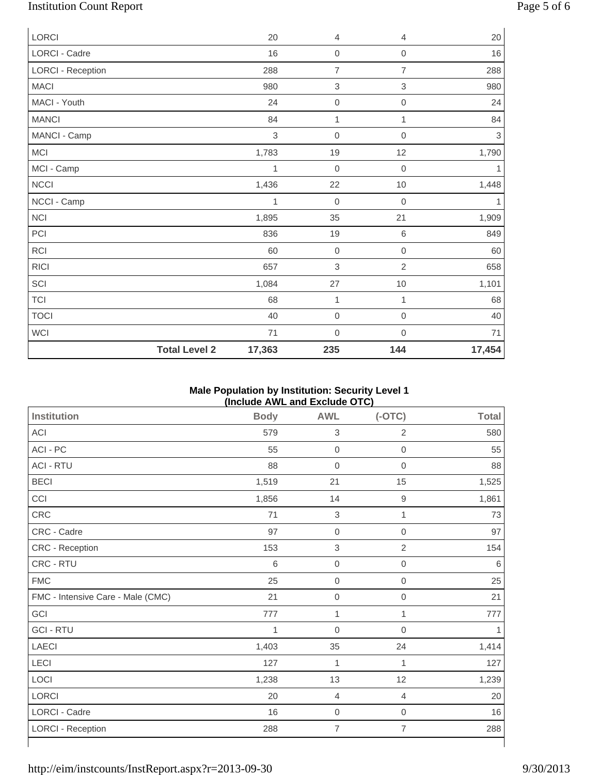# Institution Count Report Page 5 of 6

| <b>LORCI</b>             | 20                             | 4                | 4                         | 20         |
|--------------------------|--------------------------------|------------------|---------------------------|------------|
| LORCI - Cadre            | 16                             | $\boldsymbol{0}$ | $\mathbf 0$               | 16         |
| <b>LORCI - Reception</b> | 288                            | $\overline{7}$   | $\overline{7}$            | 288        |
| <b>MACI</b>              | 980                            | 3                | $\ensuremath{\mathsf{3}}$ | 980        |
| MACI - Youth             | 24                             | $\boldsymbol{0}$ | $\mathbf 0$               | 24         |
| <b>MANCI</b>             | 84                             | $\mathbf{1}$     | $\mathbf{1}$              | 84         |
| MANCI - Camp             | $\,$ 3 $\,$                    | $\boldsymbol{0}$ | $\mathbf 0$               | $\sqrt{3}$ |
| MCI                      | 1,783                          | 19               | 12                        | 1,790      |
| MCI - Camp               | 1                              | $\boldsymbol{0}$ | $\mathbf 0$               | 1          |
| <b>NCCI</b>              | 1,436                          | 22               | $10$                      | 1,448      |
| NCCI - Camp              | 1                              | $\mathbf 0$      | $\mathbf 0$               | 1          |
| <b>NCI</b>               | 1,895                          | 35               | 21                        | 1,909      |
| PCI                      | 836                            | 19               | 6                         | 849        |
| RCI                      | 60                             | $\mathbf 0$      | $\mathbf 0$               | 60         |
| <b>RICI</b>              | 657                            | 3                | $\overline{2}$            | 658        |
| SCI                      | 1,084                          | 27               | $10$                      | 1,101      |
| <b>TCI</b>               | 68                             | 1                | $\mathbf{1}$              | 68         |
| <b>TOCI</b>              | 40                             | $\boldsymbol{0}$ | $\mathbf 0$               | 40         |
| <b>WCI</b>               | 71                             | $\mathbf 0$      | $\mathbf 0$               | 71         |
|                          | <b>Total Level 2</b><br>17,363 | 235              | 144                       | 17,454     |

## **Male Population by Institution: Security Level 1 (Include AWL and Exclude OTC)**

| <b>Institution</b>                | <b>Body</b> | <b>AWL</b>                | $(-OTC)$            | <b>Total</b> |
|-----------------------------------|-------------|---------------------------|---------------------|--------------|
| ACI                               | 579         | $\ensuremath{\mathsf{3}}$ | $\overline{2}$      | 580          |
| ACI - PC                          | 55          | $\mathbf 0$               | $\mbox{O}$          | 55           |
| <b>ACI - RTU</b>                  | 88          | $\mathbf 0$               | $\mathsf{O}\xspace$ | 88           |
| <b>BECI</b>                       | 1,519       | 21                        | 15                  | 1,525        |
| CCI                               | 1,856       | 14                        | $\boldsymbol{9}$    | 1,861        |
| CRC                               | 71          | $\mathsf 3$               | 1                   | 73           |
| CRC - Cadre                       | 97          | $\mathbf 0$               | $\mathbf 0$         | 97           |
| CRC - Reception                   | 153         | $\,$ 3 $\,$               | $\overline{2}$      | 154          |
| CRC - RTU                         | 6           | $\mathbf 0$               | $\mathsf{O}\xspace$ | 6            |
| <b>FMC</b>                        | 25          | $\mathbf 0$               | $\boldsymbol{0}$    | 25           |
| FMC - Intensive Care - Male (CMC) | 21          | $\mathbf 0$               | $\mathsf{O}\xspace$ | 21           |
| GCI                               | 777         | 1                         | 1                   | 777          |
| <b>GCI - RTU</b>                  | 1           | $\boldsymbol{0}$          | $\overline{0}$      |              |
| LAECI                             | 1,403       | 35                        | 24                  | 1,414        |
| LECI                              | 127         | 1                         | 1                   | 127          |
| LOCI                              | 1,238       | 13                        | 12                  | 1,239        |
| LORCI                             | 20          | $\overline{4}$            | $\overline{4}$      | 20           |
| LORCI - Cadre                     | 16          | $\mathbf 0$               | $\mathbf 0$         | 16           |
| <b>LORCI - Reception</b>          | 288         | $\overline{7}$            | $\overline{7}$      | 288          |